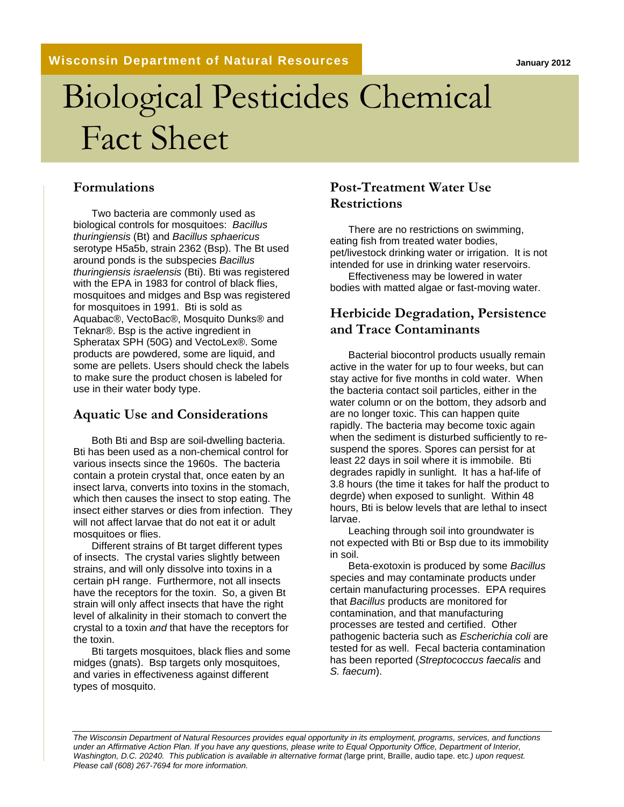**Wisconsin Department of Natural Resources**

**January 2012**

# Biological Pesticides Chemical Fact Sheet

#### **Formulations**

Two bacteria are commonly used as biological controls for mosquitoes: *Bacillus thuringiensis* (Bt) and *Bacillus sphaericus* serotype H5a5b, strain 2362 (Bsp). The Bt used around ponds is the subspecies *Bacillus thuringiensis israelensis* (Bti). Bti was registered with the EPA in 1983 for control of black flies, mosquitoes and midges and Bsp was registered for mosquitoes in 1991. Bti is sold as Aquabac®, VectoBac®, Mosquito Dunks® and Teknar®. Bsp is the active ingredient in Spheratax SPH (50G) and VectoLex®. Some products are powdered, some are liquid, and some are pellets. Users should check the labels to make sure the product chosen is labeled for use in their water body type.

#### **Aquatic Use and Considerations**

Both Bti and Bsp are soil-dwelling bacteria. Bti has been used as a non-chemical control for various insects since the 1960s. The bacteria contain a protein crystal that, once eaten by an insect larva, converts into toxins in the stomach, which then causes the insect to stop eating. The insect either starves or dies from infection. They will not affect larvae that do not eat it or adult mosquitoes or flies.

Different strains of Bt target different types of insects. The crystal varies slightly between strains, and will only dissolve into toxins in a certain pH range. Furthermore, not all insects have the receptors for the toxin. So, a given Bt strain will only affect insects that have the right level of alkalinity in their stomach to convert the crystal to a toxin *and* that have the receptors for the toxin.

Bti targets mosquitoes, black flies and some midges (gnats). Bsp targets only mosquitoes, and varies in effectiveness against different types of mosquito.

#### **Post-Treatment Water Use Restrictions**

There are no restrictions on swimming, eating fish from treated water bodies, pet/livestock drinking water or irrigation. It is not intended for use in drinking water reservoirs.

Effectiveness may be lowered in water bodies with matted algae or fast-moving water.

#### **Herbicide Degradation, Persistence and Trace Contaminants**

Bacterial biocontrol products usually remain active in the water for up to four weeks, but can stay active for five months in cold water. When the bacteria contact soil particles, either in the water column or on the bottom, they adsorb and are no longer toxic. This can happen quite rapidly. The bacteria may become toxic again when the sediment is disturbed sufficiently to resuspend the spores. Spores can persist for at least 22 days in soil where it is immobile. Bti degrades rapidly in sunlight. It has a haf-life of 3.8 hours (the time it takes for half the product to degrde) when exposed to sunlight. Within 48 hours, Bti is below levels that are lethal to insect larvae.

Leaching through soil into groundwater is not expected with Bti or Bsp due to its immobility in soil.

Beta-exotoxin is produced by some *Bacillus* species and may contaminate products under certain manufacturing processes. EPA requires that *Bacillus* products are monitored for contamination, and that manufacturing processes are tested and certified. Other pathogenic bacteria such as *Escherichia coli* are tested for as well. Fecal bacteria contamination has been reported (*Streptococcus faecalis* and *S. faecum*).

*The Wisconsin Department of Natural Resources provides equal opportunity in its employment, programs, services, and functions under an Affirmative Action Plan. If you have any questions, please write to Equal Opportunity Office, Department of Interior, Washington, D.C. 20240. This publication is available in alternative format (*large print, Braille, audio tape. etc*.) upon request. Please call (608) 267-7694 for more information.*